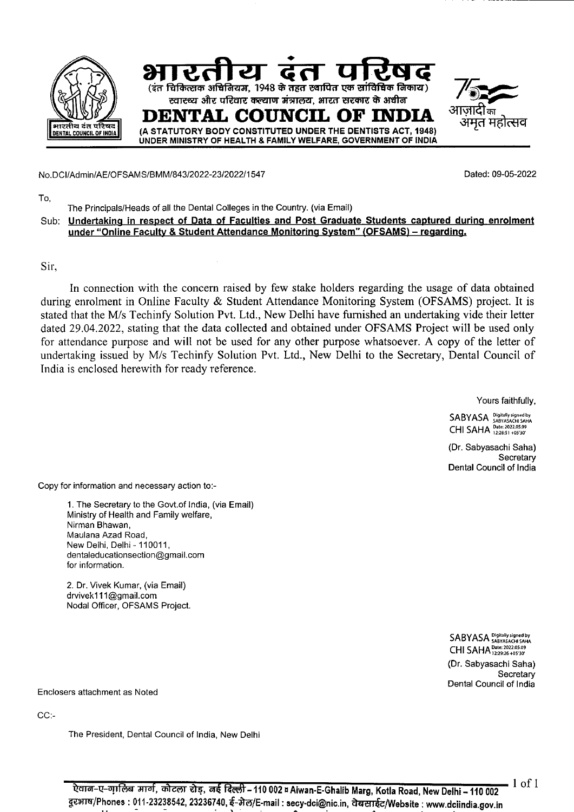

No.DCl/Admin/AE/OFSAMS/BMM/843/2022-23/2022/1 547 Dated: 09-05-2022

To,

The Principals/Heads of all the Dental Colleges in the Country. (via Email)

Sub: Undertaking in respect of Data of Faculties and Post Graduate Students captured during enrolment **under "Online Faculty** & **Student Attendance Monitoring System" (OFSAMS)** — **regardinQ** 

Sir,

In connection with the concern raised by few stake holders regarding the usage of data obtained during enrolment in Online Faculty & Student Attendance Monitoring System (OFSAMS) project. It is stated that the M/s Techinfy Solution Pvt. Ltd., New Delhi have furnished an undertaking vide their letter dated 29.04.2022, stating that the data collected and obtained under OFSAMS Project will be used only for attendance purpose and will not be used for any other purpose whatsoever. A copy of the letter of undertaking issued by M/s Techinfy Solution Pvt. Ltd., New Delhi to the Secretary, Dental Council of India is enclosed herewith for ready reference.

Yours faithfully,

SABYASA Digitally signed by CHI SAHA Date: 2022.05.09

(Dr. Sabyasachi Saha) **Secretary** Dental Council of India

Copy for information and necessary action to:-

1. The Secretary to the Govt.of India, (via Email) Ministry of Health and Family welfare, Nirman Bhawan, Maulana Azad Road, New Delhi, Delhi - 110011, dentaleducationsection@gmail.com for information.

2. Dr. Vivek Kumar, (via Email) drvivek111@gmail.com Nodal Officer, OFSAMS Project.

> SABYASA Digitally signed by CHI SAHA Date: 2022.05.09 (Dr. Sabyasachi Saha) **Secretary** Dental Council of India

Enclosers attachment as Noted

CC:-

The President, Dental Council of India, New Delhi